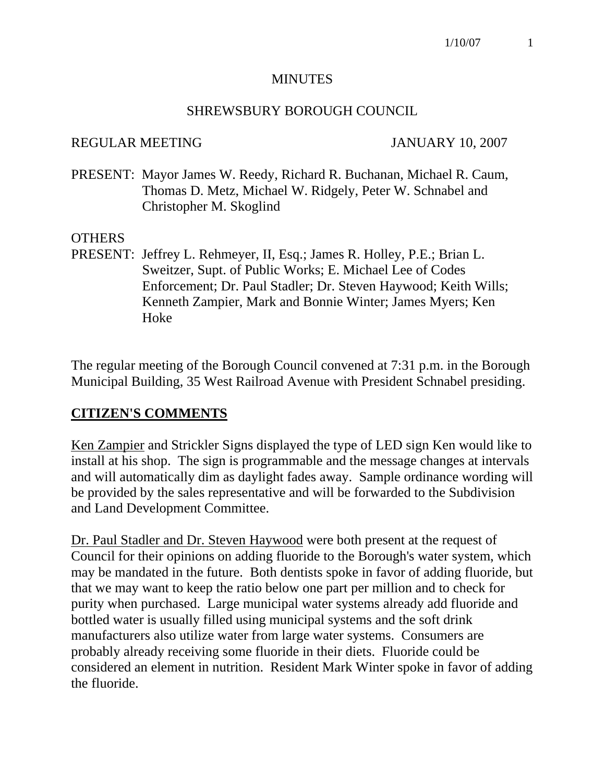#### MINUTES

#### SHREWSBURY BOROUGH COUNCIL

#### REGULAR MEETING JANUARY 10, 2007

PRESENT: Mayor James W. Reedy, Richard R. Buchanan, Michael R. Caum, Thomas D. Metz, Michael W. Ridgely, Peter W. Schnabel and Christopher M. Skoglind

#### OTHERS

PRESENT: Jeffrey L. Rehmeyer, II, Esq.; James R. Holley, P.E.; Brian L. Sweitzer, Supt. of Public Works; E. Michael Lee of Codes Enforcement; Dr. Paul Stadler; Dr. Steven Haywood; Keith Wills; Kenneth Zampier, Mark and Bonnie Winter; James Myers; Ken Hoke

The regular meeting of the Borough Council convened at 7:31 p.m. in the Borough Municipal Building, 35 West Railroad Avenue with President Schnabel presiding.

#### **CITIZEN'S COMMENTS**

Ken Zampier and Strickler Signs displayed the type of LED sign Ken would like to install at his shop. The sign is programmable and the message changes at intervals and will automatically dim as daylight fades away. Sample ordinance wording will be provided by the sales representative and will be forwarded to the Subdivision and Land Development Committee.

Dr. Paul Stadler and Dr. Steven Haywood were both present at the request of Council for their opinions on adding fluoride to the Borough's water system, which may be mandated in the future. Both dentists spoke in favor of adding fluoride, but that we may want to keep the ratio below one part per million and to check for purity when purchased. Large municipal water systems already add fluoride and bottled water is usually filled using municipal systems and the soft drink manufacturers also utilize water from large water systems. Consumers are probably already receiving some fluoride in their diets. Fluoride could be considered an element in nutrition. Resident Mark Winter spoke in favor of adding the fluoride.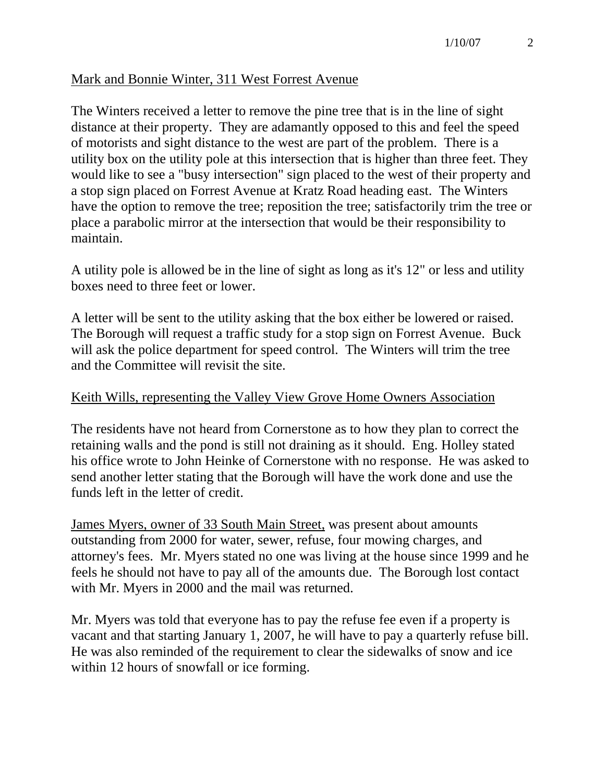### Mark and Bonnie Winter, 311 West Forrest Avenue

The Winters received a letter to remove the pine tree that is in the line of sight distance at their property. They are adamantly opposed to this and feel the speed of motorists and sight distance to the west are part of the problem. There is a utility box on the utility pole at this intersection that is higher than three feet. They would like to see a "busy intersection" sign placed to the west of their property and a stop sign placed on Forrest Avenue at Kratz Road heading east. The Winters have the option to remove the tree; reposition the tree; satisfactorily trim the tree or place a parabolic mirror at the intersection that would be their responsibility to maintain.

A utility pole is allowed be in the line of sight as long as it's 12" or less and utility boxes need to three feet or lower.

A letter will be sent to the utility asking that the box either be lowered or raised. The Borough will request a traffic study for a stop sign on Forrest Avenue. Buck will ask the police department for speed control. The Winters will trim the tree and the Committee will revisit the site.

#### Keith Wills, representing the Valley View Grove Home Owners Association

The residents have not heard from Cornerstone as to how they plan to correct the retaining walls and the pond is still not draining as it should. Eng. Holley stated his office wrote to John Heinke of Cornerstone with no response. He was asked to send another letter stating that the Borough will have the work done and use the funds left in the letter of credit.

James Myers, owner of 33 South Main Street, was present about amounts outstanding from 2000 for water, sewer, refuse, four mowing charges, and attorney's fees. Mr. Myers stated no one was living at the house since 1999 and he feels he should not have to pay all of the amounts due. The Borough lost contact with Mr. Myers in 2000 and the mail was returned.

Mr. Myers was told that everyone has to pay the refuse fee even if a property is vacant and that starting January 1, 2007, he will have to pay a quarterly refuse bill. He was also reminded of the requirement to clear the sidewalks of snow and ice within 12 hours of snowfall or ice forming.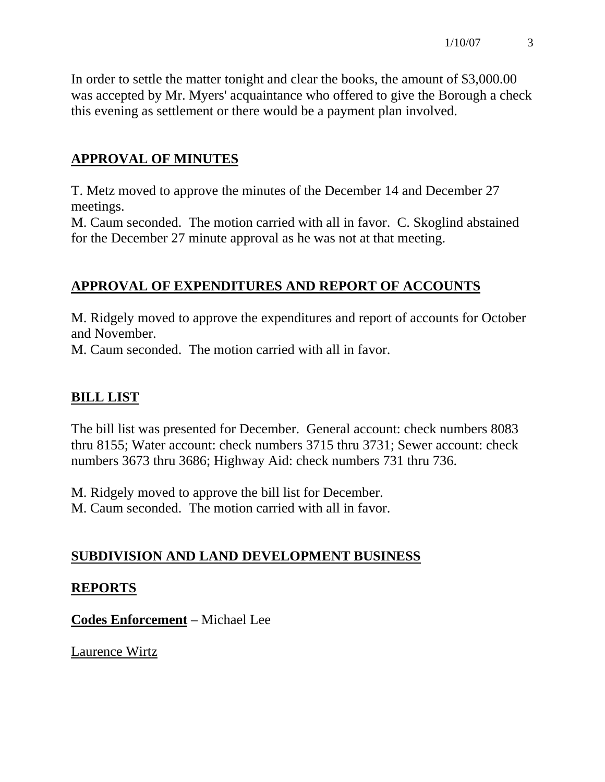In order to settle the matter tonight and clear the books, the amount of \$3,000.00 was accepted by Mr. Myers' acquaintance who offered to give the Borough a check this evening as settlement or there would be a payment plan involved.

# **APPROVAL OF MINUTES**

T. Metz moved to approve the minutes of the December 14 and December 27 meetings.

M. Caum seconded. The motion carried with all in favor. C. Skoglind abstained for the December 27 minute approval as he was not at that meeting.

# **APPROVAL OF EXPENDITURES AND REPORT OF ACCOUNTS**

M. Ridgely moved to approve the expenditures and report of accounts for October and November.

M. Caum seconded. The motion carried with all in favor.

# **BILL LIST**

The bill list was presented for December. General account: check numbers 8083 thru 8155; Water account: check numbers 3715 thru 3731; Sewer account: check numbers 3673 thru 3686; Highway Aid: check numbers 731 thru 736.

M. Ridgely moved to approve the bill list for December.

M. Caum seconded. The motion carried with all in favor.

# **SUBDIVISION AND LAND DEVELOPMENT BUSINESS**

## **REPORTS**

**Codes Enforcement** – Michael Lee

Laurence Wirtz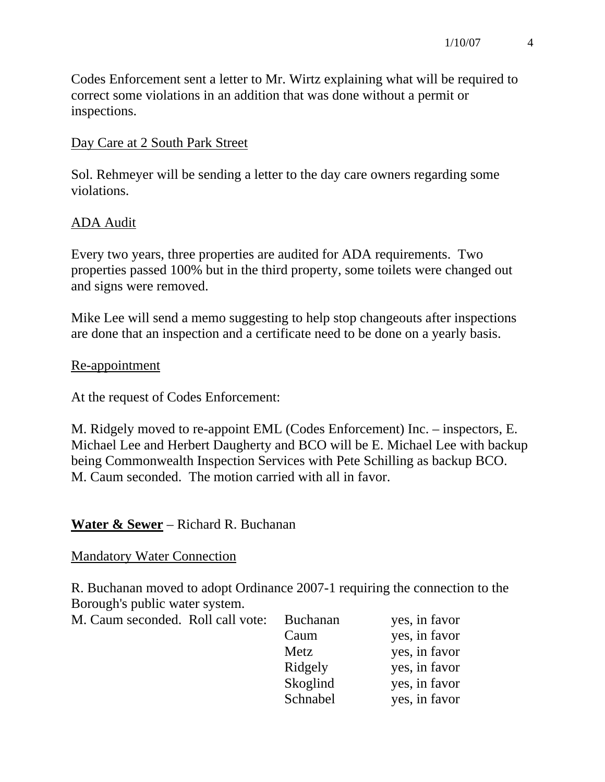Codes Enforcement sent a letter to Mr. Wirtz explaining what will be required to correct some violations in an addition that was done without a permit or inspections.

### Day Care at 2 South Park Street

Sol. Rehmeyer will be sending a letter to the day care owners regarding some violations.

## ADA Audit

Every two years, three properties are audited for ADA requirements. Two properties passed 100% but in the third property, some toilets were changed out and signs were removed.

Mike Lee will send a memo suggesting to help stop changeouts after inspections are done that an inspection and a certificate need to be done on a yearly basis.

#### Re-appointment

At the request of Codes Enforcement:

M. Ridgely moved to re-appoint EML (Codes Enforcement) Inc. – inspectors, E. Michael Lee and Herbert Daugherty and BCO will be E. Michael Lee with backup being Commonwealth Inspection Services with Pete Schilling as backup BCO. M. Caum seconded. The motion carried with all in favor.

## **Water & Sewer** – Richard R. Buchanan

## Mandatory Water Connection

R. Buchanan moved to adopt Ordinance 2007-1 requiring the connection to the Borough's public water system.

| M. Caum seconded. Roll call vote: | <b>Buchanan</b> | yes, in favor |
|-----------------------------------|-----------------|---------------|
|                                   | Caum            | yes, in favor |
|                                   | Metz            | yes, in favor |
|                                   | Ridgely         | yes, in favor |
|                                   | Skoglind        | yes, in favor |
|                                   | Schnabel        | yes, in favor |
|                                   |                 |               |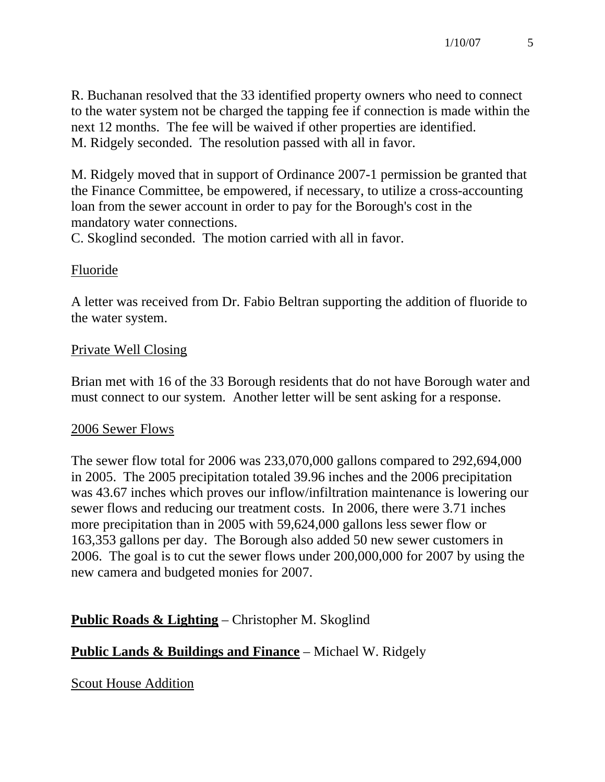R. Buchanan resolved that the 33 identified property owners who need to connect to the water system not be charged the tapping fee if connection is made within the next 12 months. The fee will be waived if other properties are identified. M. Ridgely seconded. The resolution passed with all in favor.

M. Ridgely moved that in support of Ordinance 2007-1 permission be granted that the Finance Committee, be empowered, if necessary, to utilize a cross-accounting loan from the sewer account in order to pay for the Borough's cost in the mandatory water connections.

C. Skoglind seconded. The motion carried with all in favor.

## Fluoride

A letter was received from Dr. Fabio Beltran supporting the addition of fluoride to the water system.

## Private Well Closing

Brian met with 16 of the 33 Borough residents that do not have Borough water and must connect to our system. Another letter will be sent asking for a response.

## 2006 Sewer Flows

The sewer flow total for 2006 was 233,070,000 gallons compared to 292,694,000 in 2005. The 2005 precipitation totaled 39.96 inches and the 2006 precipitation was 43.67 inches which proves our inflow/infiltration maintenance is lowering our sewer flows and reducing our treatment costs. In 2006, there were 3.71 inches more precipitation than in 2005 with 59,624,000 gallons less sewer flow or 163,353 gallons per day. The Borough also added 50 new sewer customers in 2006. The goal is to cut the sewer flows under 200,000,000 for 2007 by using the new camera and budgeted monies for 2007.

# **Public Roads & Lighting** – Christopher M. Skoglind

## **Public Lands & Buildings and Finance** – Michael W. Ridgely

Scout House Addition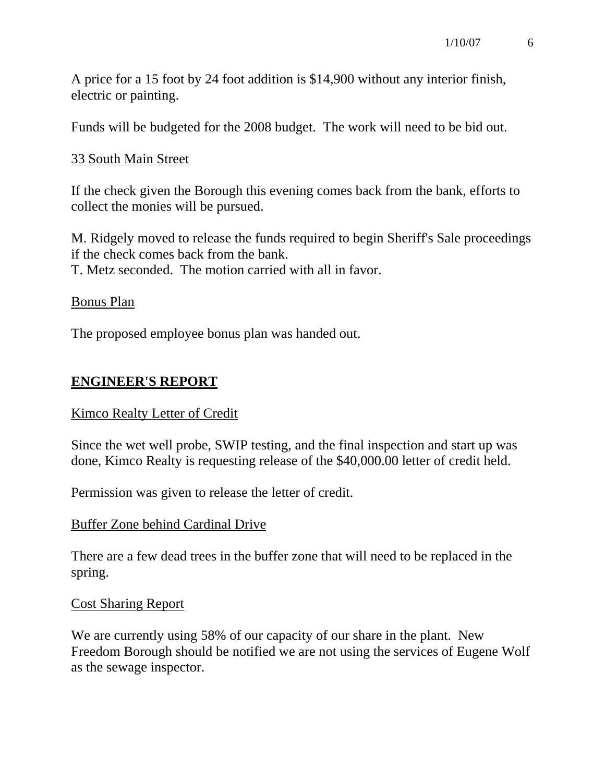A price for a 15 foot by 24 foot addition is \$14,900 without any interior finish, electric or painting.

Funds will be budgeted for the 2008 budget. The work will need to be bid out.

## 33 South Main Street

If the check given the Borough this evening comes back from the bank, efforts to collect the monies will be pursued.

M. Ridgely moved to release the funds required to begin Sheriff's Sale proceedings if the check comes back from the bank. T. Metz seconded. The motion carried with all in favor.

#### Bonus Plan

The proposed employee bonus plan was handed out.

## **ENGINEER'S REPORT**

#### Kimco Realty Letter of Credit

Since the wet well probe, SWIP testing, and the final inspection and start up was done, Kimco Realty is requesting release of the \$40,000.00 letter of credit held.

Permission was given to release the letter of credit.

#### Buffer Zone behind Cardinal Drive

There are a few dead trees in the buffer zone that will need to be replaced in the spring.

#### Cost Sharing Report

We are currently using 58% of our capacity of our share in the plant. New Freedom Borough should be notified we are not using the services of Eugene Wolf as the sewage inspector.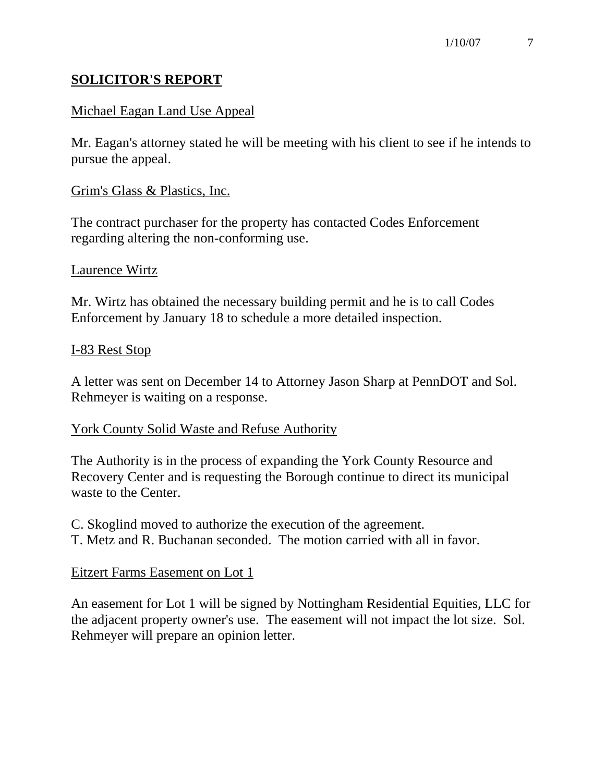## **SOLICITOR'S REPORT**

## Michael Eagan Land Use Appeal

Mr. Eagan's attorney stated he will be meeting with his client to see if he intends to pursue the appeal.

### Grim's Glass & Plastics, Inc.

The contract purchaser for the property has contacted Codes Enforcement regarding altering the non-conforming use.

#### Laurence Wirtz

Mr. Wirtz has obtained the necessary building permit and he is to call Codes Enforcement by January 18 to schedule a more detailed inspection.

#### I-83 Rest Stop

A letter was sent on December 14 to Attorney Jason Sharp at PennDOT and Sol. Rehmeyer is waiting on a response.

#### York County Solid Waste and Refuse Authority

The Authority is in the process of expanding the York County Resource and Recovery Center and is requesting the Borough continue to direct its municipal waste to the Center.

C. Skoglind moved to authorize the execution of the agreement. T. Metz and R. Buchanan seconded. The motion carried with all in favor.

## Eitzert Farms Easement on Lot 1

An easement for Lot 1 will be signed by Nottingham Residential Equities, LLC for the adjacent property owner's use. The easement will not impact the lot size. Sol. Rehmeyer will prepare an opinion letter.